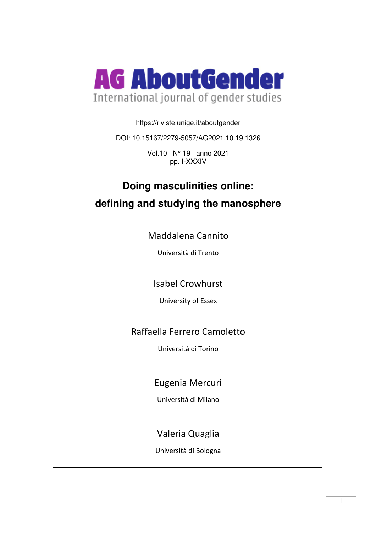

https://riviste.unige.it/aboutgender

DOI: 10.15167/2279-5057/AG2021.10.19.1326

Vol.10 N° 19 anno 2021 pp. I-XXXIV

# **Doing masculinities online: defining and studying the manosphere**

Maddalena Cannito

Università di Trento

Isabel Crowhurst

University of Essex

# Raffaella Ferrero Camoletto

Università di Torino

Eugenia Mercuri

Università di Milano

# Valeria Quaglia

Università di Bologna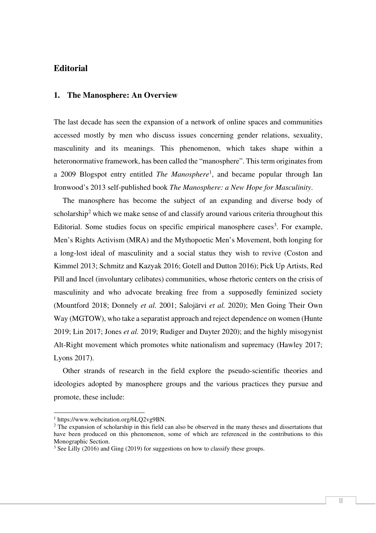# **Editorial**

#### **1. The Manosphere: An Overview**

The last decade has seen the expansion of a network of online spaces and communities accessed mostly by men who discuss issues concerning gender relations, sexuality, masculinity and its meanings. This phenomenon, which takes shape within a heteronormative framework, has been called the "manosphere". This term originates from a 2009 Blogspot entry entitled *The Manosphere*<sup>1</sup> , and became popular through Ian Ironwood's 2013 self-published book *The Manosphere: a New Hope for Masculinity*.

The manosphere has become the subject of an expanding and diverse body of scholarship<sup>2</sup> which we make sense of and classify around various criteria throughout this Editorial. Some studies focus on specific empirical manosphere cases<sup>3</sup>. For example, Men's Rights Activism (MRA) and the Mythopoetic Men's Movement, both longing for a long-lost ideal of masculinity and a social status they wish to revive (Coston and Kimmel 2013; Schmitz and Kazyak 2016; Gotell and Dutton 2016); Pick Up Artists, Red Pill and Incel (involuntary celibates) communities, whose rhetoric centers on the crisis of masculinity and who advocate breaking free from a supposedly feminized society (Mountford 2018; Donnely *et al.* 2001; Salojärvi *et al.* 2020); Men Going Their Own Way (MGTOW), who take a separatist approach and reject dependence on women (Hunte 2019; Lin 2017; Jones *et al.* 2019; Rudiger and Dayter 2020); and the highly misogynist Alt-Right movement which promotes white nationalism and supremacy (Hawley 2017; Lyons 2017).

Other strands of research in the field explore the pseudo-scientific theories and ideologies adopted by manosphere groups and the various practices they pursue and promote, these include:

<sup>1</sup> https://www.webcitation.org/6LQ2vg9BN.

<sup>&</sup>lt;sup>2</sup> The expansion of scholarship in this field can also be observed in the many theses and dissertations that have been produced on this phenomenon, some of which are referenced in the contributions to this Monographic Section.

<sup>&</sup>lt;sup>3</sup> See Lilly (2016) and Ging (2019) for suggestions on how to classify these groups.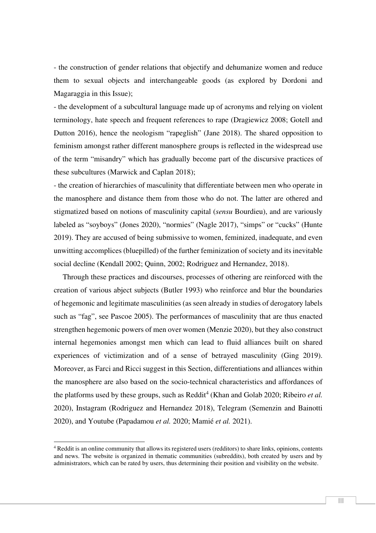- the construction of gender relations that objectify and dehumanize women and reduce them to sexual objects and interchangeable goods (as explored by Dordoni and Magaraggia in this Issue);

- the development of a subcultural language made up of acronyms and relying on violent terminology, hate speech and frequent references to rape (Dragiewicz 2008; Gotell and Dutton 2016), hence the neologism "rapeglish" (Jane 2018). The shared opposition to feminism amongst rather different manosphere groups is reflected in the widespread use of the term "misandry" which has gradually become part of the discursive practices of these subcultures (Marwick and Caplan 2018);

- the creation of hierarchies of masculinity that differentiate between men who operate in the manosphere and distance them from those who do not. The latter are othered and stigmatized based on notions of masculinity capital (*sensu* Bourdieu), and are variously labeled as "soyboys" (Jones 2020), "normies" (Nagle 2017), "simps" or "cucks" (Hunte 2019). They are accused of being submissive to women, feminized, inadequate, and even unwitting accomplices (bluepilled) of the further feminization of society and its inevitable social decline (Kendall 2002; Quinn, 2002; Rodriguez and Hernandez, 2018).

Through these practices and discourses, processes of othering are reinforced with the creation of various abject subjects (Butler 1993) who reinforce and blur the boundaries of hegemonic and legitimate masculinities (as seen already in studies of derogatory labels such as "fag", see Pascoe 2005). The performances of masculinity that are thus enacted strengthen hegemonic powers of men over women (Menzie 2020), but they also construct internal hegemonies amongst men which can lead to fluid alliances built on shared experiences of victimization and of a sense of betrayed masculinity (Ging 2019). Moreover, as Farci and Ricci suggest in this Section, differentiations and alliances within the manosphere are also based on the socio-technical characteristics and affordances of the platforms used by these groups, such as Reddit<sup>4</sup> (Khan and Golab 2020; Ribeiro et al. 2020), Instagram (Rodriguez and Hernandez 2018), Telegram (Semenzin and Bainotti 2020), and Youtube (Papadamou *et al.* 2020; Mamié *et al.* 2021).

<sup>4</sup> Reddit is an online community that allows its registered users (redditors) to share links, opinions, contents and news. The website is organized in thematic communities (subreddits), both created by users and by administrators, which can be rated by users, thus determining their position and visibility on the website.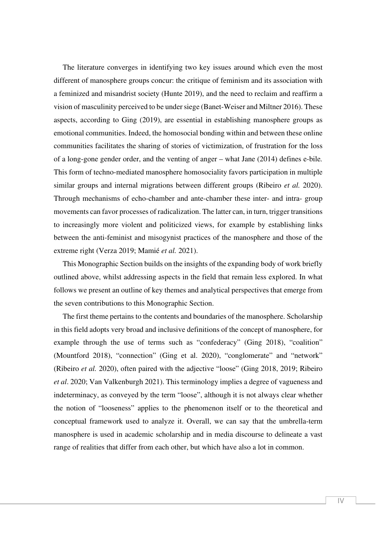The literature converges in identifying two key issues around which even the most different of manosphere groups concur: the critique of feminism and its association with a feminized and misandrist society (Hunte 2019), and the need to reclaim and reaffirm a vision of masculinity perceived to be under siege (Banet-Weiser and Miltner 2016). These aspects, according to Ging (2019), are essential in establishing manosphere groups as emotional communities. Indeed, the homosocial bonding within and between these online communities facilitates the sharing of stories of victimization, of frustration for the loss of a long-gone gender order, and the venting of anger – what Jane (2014) defines e-bile*.* This form of techno-mediated manosphere homosociality favors participation in multiple similar groups and internal migrations between different groups (Ribeiro *et al.* 2020). Through mechanisms of echo-chamber and ante-chamber these inter- and intra- group movements can favor processes of radicalization. The latter can, in turn, trigger transitions to increasingly more violent and politicized views, for example by establishing links between the anti-feminist and misogynist practices of the manosphere and those of the extreme right (Verza 2019; Mamié *et al.* 2021).

This Monographic Section builds on the insights of the expanding body of work briefly outlined above, whilst addressing aspects in the field that remain less explored. In what follows we present an outline of key themes and analytical perspectives that emerge from the seven contributions to this Monographic Section.

The first theme pertains to the contents and boundaries of the manosphere. Scholarship in this field adopts very broad and inclusive definitions of the concept of manosphere, for example through the use of terms such as "confederacy" (Ging 2018), "coalition" (Mountford 2018), "connection" (Ging et al. 2020), "conglomerate" and "network" (Ribeiro *et al.* 2020), often paired with the adjective "loose" (Ging 2018, 2019; Ribeiro *et al*. 2020; Van Valkenburgh 2021). This terminology implies a degree of vagueness and indeterminacy, as conveyed by the term "loose", although it is not always clear whether the notion of "looseness" applies to the phenomenon itself or to the theoretical and conceptual framework used to analyze it. Overall, we can say that the umbrella-term manosphere is used in academic scholarship and in media discourse to delineate a vast range of realities that differ from each other, but which have also a lot in common.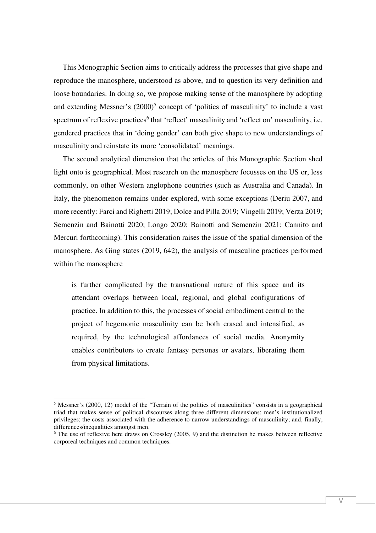This Monographic Section aims to critically address the processes that give shape and reproduce the manosphere, understood as above, and to question its very definition and loose boundaries. In doing so, we propose making sense of the manosphere by adopting and extending Messner's  $(2000)^5$  concept of 'politics of masculinity' to include a vast spectrum of reflexive practices<sup>6</sup> that 'reflect' masculinity and 'reflect on' masculinity, i.e. gendered practices that in 'doing gender' can both give shape to new understandings of masculinity and reinstate its more 'consolidated' meanings.

The second analytical dimension that the articles of this Monographic Section shed light onto is geographical. Most research on the manosphere focusses on the US or, less commonly, on other Western anglophone countries (such as Australia and Canada). In Italy, the phenomenon remains under-explored, with some exceptions (Deriu 2007, and more recently: Farci and Righetti 2019; Dolce and Pilla 2019; Vingelli 2019; Verza 2019; Semenzin and Bainotti 2020; Longo 2020; Bainotti and Semenzin 2021; Cannito and Mercuri forthcoming). This consideration raises the issue of the spatial dimension of the manosphere. As Ging states (2019, 642), the analysis of masculine practices performed within the manosphere

is further complicated by the transnational nature of this space and its attendant overlaps between local, regional, and global configurations of practice. In addition to this, the processes of social embodiment central to the project of hegemonic masculinity can be both erased and intensified, as required, by the technological affordances of social media. Anonymity enables contributors to create fantasy personas or avatars, liberating them from physical limitations.

<sup>&</sup>lt;sup>5</sup> Messner's (2000, 12) model of the "Terrain of the politics of masculinities" consists in a geographical triad that makes sense of political discourses along three different dimensions: men's institutionalized privileges; the costs associated with the adherence to narrow understandings of masculinity; and, finally, differences/inequalities amongst men.

<sup>&</sup>lt;sup>6</sup> The use of reflexive here draws on Crossley (2005, 9) and the distinction he makes between reflective corporeal techniques and common techniques.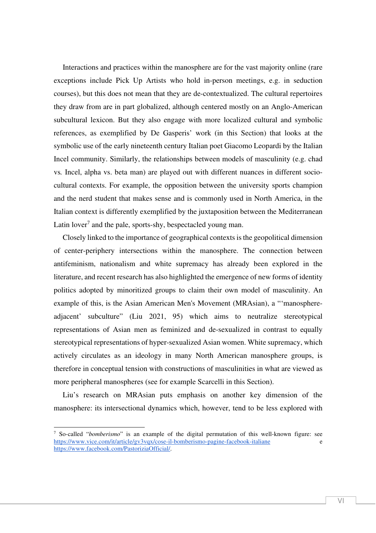Interactions and practices within the manosphere are for the vast majority online (rare exceptions include Pick Up Artists who hold in-person meetings, e.g. in seduction courses), but this does not mean that they are de-contextualized. The cultural repertoires they draw from are in part globalized, although centered mostly on an Anglo-American subcultural lexicon. But they also engage with more localized cultural and symbolic references, as exemplified by De Gasperis' work (in this Section) that looks at the symbolic use of the early nineteenth century Italian poet Giacomo Leopardi by the Italian Incel community. Similarly, the relationships between models of masculinity (e.g. chad vs*.* Incel, alpha vs. beta man) are played out with different nuances in different sociocultural contexts. For example, the opposition between the university sports champion and the nerd student that makes sense and is commonly used in North America, in the Italian context is differently exemplified by the juxtaposition between the Mediterranean Latin lover<sup>7</sup> and the pale, sports-shy, bespectacled young man.

Closely linked to the importance of geographical contexts is the geopolitical dimension of center-periphery intersections within the manosphere. The connection between antifeminism, nationalism and white supremacy has already been explored in the literature, and recent research has also highlighted the emergence of new forms of identity politics adopted by minoritized groups to claim their own model of masculinity. An example of this, is the Asian American Men's Movement (MRAsian), a "'manosphereadjacent' subculture" (Liu 2021, 95) which aims to neutralize stereotypical representations of Asian men as feminized and de-sexualized in contrast to equally stereotypical representations of hyper-sexualized Asian women. White supremacy, which actively circulates as an ideology in many North American manosphere groups, is therefore in conceptual tension with constructions of masculinities in what are viewed as more peripheral manospheres (see for example Scarcelli in this Section).

Liu's research on MRAsian puts emphasis on another key dimension of the manosphere: its intersectional dynamics which, however, tend to be less explored with

<sup>7</sup> So-called "*bomberismo*" is an example of the digital permutation of this well-known figure: see https://www.vice.com/it/article/gv3vqx/cose-il-bomberismo-pagine-facebook-italiane https://www.facebook.com/PastoriziaOfficial/.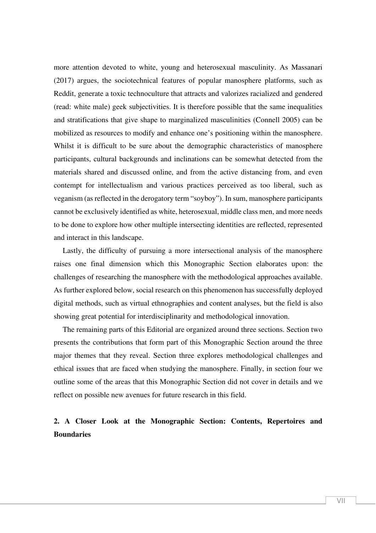more attention devoted to white, young and heterosexual masculinity. As Massanari (2017) argues, the sociotechnical features of popular manosphere platforms, such as Reddit, generate a toxic technoculture that attracts and valorizes racialized and gendered (read: white male) geek subjectivities. It is therefore possible that the same inequalities and stratifications that give shape to marginalized masculinities (Connell 2005) can be mobilized as resources to modify and enhance one's positioning within the manosphere. Whilst it is difficult to be sure about the demographic characteristics of manosphere participants, cultural backgrounds and inclinations can be somewhat detected from the materials shared and discussed online, and from the active distancing from, and even contempt for intellectualism and various practices perceived as too liberal, such as veganism (as reflected in the derogatory term "soyboy"). In sum, manosphere participants cannot be exclusively identified as white, heterosexual, middle class men, and more needs to be done to explore how other multiple intersecting identities are reflected, represented and interact in this landscape.

Lastly, the difficulty of pursuing a more intersectional analysis of the manosphere raises one final dimension which this Monographic Section elaborates upon: the challenges of researching the manosphere with the methodological approaches available. As further explored below, social research on this phenomenon has successfully deployed digital methods, such as virtual ethnographies and content analyses, but the field is also showing great potential for interdisciplinarity and methodological innovation.

The remaining parts of this Editorial are organized around three sections. Section two presents the contributions that form part of this Monographic Section around the three major themes that they reveal. Section three explores methodological challenges and ethical issues that are faced when studying the manosphere. Finally, in section four we outline some of the areas that this Monographic Section did not cover in details and we reflect on possible new avenues for future research in this field.

# **2. A Closer Look at the Monographic Section: Contents, Repertoires and Boundaries**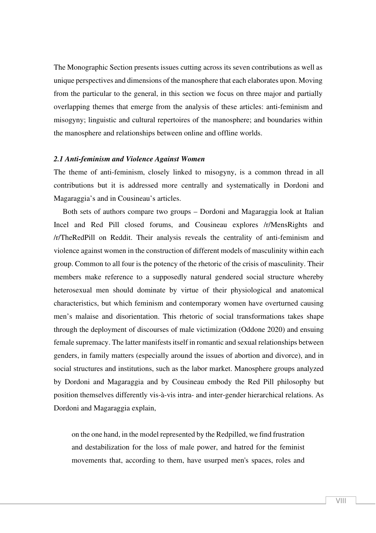The Monographic Section presents issues cutting across its seven contributions as well as unique perspectives and dimensions of the manosphere that each elaborates upon. Moving from the particular to the general, in this section we focus on three major and partially overlapping themes that emerge from the analysis of these articles: anti-feminism and misogyny; linguistic and cultural repertoires of the manosphere; and boundaries within the manosphere and relationships between online and offline worlds.

#### *2.1 Anti-feminism and Violence Against Women*

The theme of anti-feminism, closely linked to misogyny, is a common thread in all contributions but it is addressed more centrally and systematically in Dordoni and Magaraggia's and in Cousineau's articles.

Both sets of authors compare two groups – Dordoni and Magaraggia look at Italian Incel and Red Pill closed forums, and Cousineau explores /r/MensRights and /r/TheRedPill on Reddit. Their analysis reveals the centrality of anti-feminism and violence against women in the construction of different models of masculinity within each group. Common to all four is the potency of the rhetoric of the crisis of masculinity. Their members make reference to a supposedly natural gendered social structure whereby heterosexual men should dominate by virtue of their physiological and anatomical characteristics, but which feminism and contemporary women have overturned causing men's malaise and disorientation. This rhetoric of social transformations takes shape through the deployment of discourses of male victimization (Oddone 2020) and ensuing female supremacy. The latter manifests itself in romantic and sexual relationships between genders, in family matters (especially around the issues of abortion and divorce), and in social structures and institutions, such as the labor market. Manosphere groups analyzed by Dordoni and Magaraggia and by Cousineau embody the Red Pill philosophy but position themselves differently vis-à-vis intra- and inter-gender hierarchical relations. As Dordoni and Magaraggia explain,

on the one hand, in the model represented by the Redpilled, we find frustration and destabilization for the loss of male power, and hatred for the feminist movements that, according to them, have usurped men's spaces, roles and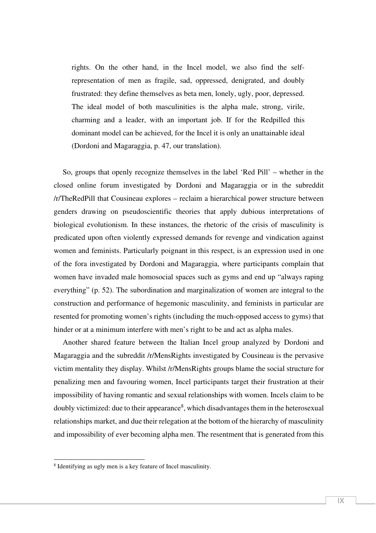rights. On the other hand, in the Incel model, we also find the selfrepresentation of men as fragile, sad, oppressed, denigrated, and doubly frustrated: they define themselves as beta men, lonely, ugly, poor, depressed. The ideal model of both masculinities is the alpha male, strong, virile, charming and a leader, with an important job. If for the Redpilled this dominant model can be achieved, for the Incel it is only an unattainable ideal (Dordoni and Magaraggia, p. 47, our translation).

So, groups that openly recognize themselves in the label 'Red Pill' – whether in the closed online forum investigated by Dordoni and Magaraggia or in the subreddit /r/TheRedPill that Cousineau explores – reclaim a hierarchical power structure between genders drawing on pseudoscientific theories that apply dubious interpretations of biological evolutionism. In these instances, the rhetoric of the crisis of masculinity is predicated upon often violently expressed demands for revenge and vindication against women and feminists. Particularly poignant in this respect, is an expression used in one of the fora investigated by Dordoni and Magaraggia, where participants complain that women have invaded male homosocial spaces such as gyms and end up "always raping everything" (p. 52). The subordination and marginalization of women are integral to the construction and performance of hegemonic masculinity, and feminists in particular are resented for promoting women's rights (including the much-opposed access to gyms) that hinder or at a minimum interfere with men's right to be and act as alpha males.

Another shared feature between the Italian Incel group analyzed by Dordoni and Magaraggia and the subreddit /r/MensRights investigated by Cousineau is the pervasive victim mentality they display. Whilst /r/MensRights groups blame the social structure for penalizing men and favouring women, Incel participants target their frustration at their impossibility of having romantic and sexual relationships with women. Incels claim to be doubly victimized: due to their appearance<sup>8</sup>, which disadvantages them in the heterosexual relationships market, and due their relegation at the bottom of the hierarchy of masculinity and impossibility of ever becoming alpha men. The resentment that is generated from this

<sup>8</sup> Identifying as ugly men is a key feature of Incel masculinity.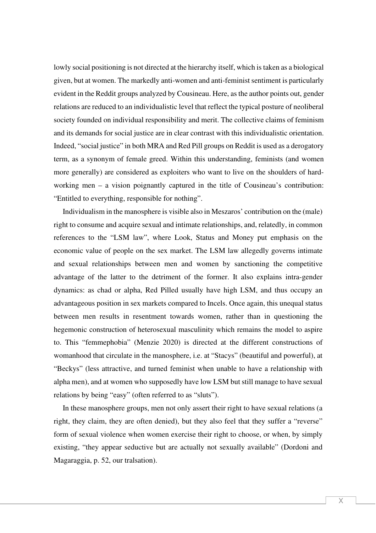lowly social positioning is not directed at the hierarchy itself, which is taken as a biological given, but at women. The markedly anti-women and anti-feminist sentiment is particularly evident in the Reddit groups analyzed by Cousineau. Here, as the author points out, gender relations are reduced to an individualistic level that reflect the typical posture of neoliberal society founded on individual responsibility and merit. The collective claims of feminism and its demands for social justice are in clear contrast with this individualistic orientation. Indeed, "social justice" in both MRA and Red Pill groups on Reddit is used as a derogatory term, as a synonym of female greed. Within this understanding, feminists (and women more generally) are considered as exploiters who want to live on the shoulders of hardworking men – a vision poignantly captured in the title of Cousineau's contribution: "Entitled to everything, responsible for nothing".

Individualism in the manosphere is visible also in Meszaros' contribution on the (male) right to consume and acquire sexual and intimate relationships, and, relatedly, in common references to the "LSM law", where Look, Status and Money put emphasis on the economic value of people on the sex market. The LSM law allegedly governs intimate and sexual relationships between men and women by sanctioning the competitive advantage of the latter to the detriment of the former. It also explains intra-gender dynamics: as chad or alpha, Red Pilled usually have high LSM, and thus occupy an advantageous position in sex markets compared to Incels. Once again, this unequal status between men results in resentment towards women, rather than in questioning the hegemonic construction of heterosexual masculinity which remains the model to aspire to. This "femmephobia" (Menzie 2020) is directed at the different constructions of womanhood that circulate in the manosphere, i.e. at "Stacys" (beautiful and powerful), at "Beckys" (less attractive, and turned feminist when unable to have a relationship with alpha men), and at women who supposedly have low LSM but still manage to have sexual relations by being "easy" (often referred to as "sluts").

In these manosphere groups, men not only assert their right to have sexual relations (a right, they claim, they are often denied), but they also feel that they suffer a "reverse" form of sexual violence when women exercise their right to choose, or when, by simply existing, "they appear seductive but are actually not sexually available" (Dordoni and Magaraggia, p. 52, our tralsation).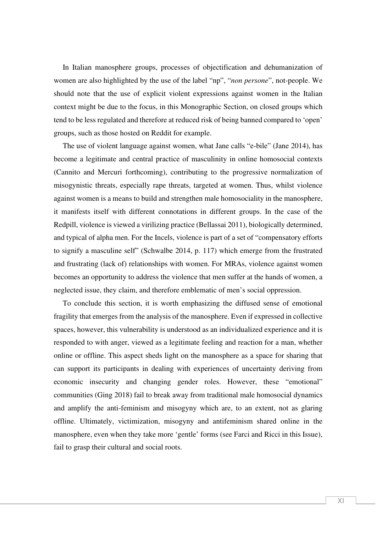In Italian manosphere groups, processes of objectification and dehumanization of women are also highlighted by the use of the label "np", "*non persone*", not-people. We should note that the use of explicit violent expressions against women in the Italian context might be due to the focus, in this Monographic Section, on closed groups which tend to be less regulated and therefore at reduced risk of being banned compared to 'open' groups, such as those hosted on Reddit for example.

The use of violent language against women, what Jane calls "e-bile" (Jane 2014), has become a legitimate and central practice of masculinity in online homosocial contexts (Cannito and Mercuri forthcoming), contributing to the progressive normalization of misogynistic threats, especially rape threats, targeted at women. Thus, whilst violence against women is a means to build and strengthen male homosociality in the manosphere, it manifests itself with different connotations in different groups. In the case of the Redpill, violence is viewed a virilizing practice (Bellassai 2011), biologically determined, and typical of alpha men. For the Incels, violence is part of a set of "compensatory efforts to signify a masculine self" (Schwalbe 2014, p. 117) which emerge from the frustrated and frustrating (lack of) relationships with women. For MRAs, violence against women becomes an opportunity to address the violence that men suffer at the hands of women, a neglected issue, they claim, and therefore emblematic of men's social oppression.

To conclude this section, it is worth emphasizing the diffused sense of emotional fragility that emerges from the analysis of the manosphere. Even if expressed in collective spaces, however, this vulnerability is understood as an individualized experience and it is responded to with anger, viewed as a legitimate feeling and reaction for a man, whether online or offline. This aspect sheds light on the manosphere as a space for sharing that can support its participants in dealing with experiences of uncertainty deriving from economic insecurity and changing gender roles. However, these "emotional" communities (Ging 2018) fail to break away from traditional male homosocial dynamics and amplify the anti-feminism and misogyny which are, to an extent, not as glaring offline. Ultimately, victimization, misogyny and antifeminism shared online in the manosphere, even when they take more 'gentle' forms (see Farci and Ricci in this Issue), fail to grasp their cultural and social roots.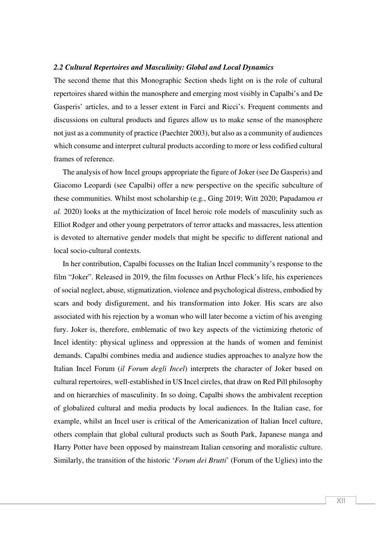#### *2.2 Cultural Repertoires and Masculinity: Global and Local Dynamics*

The second theme that this Monographic Section sheds light on is the role of cultural repertoires shared within the manosphere and emerging most visibly in Capalbi's and De Gasperis' articles, and to a lesser extent in Farci and Ricci's. Frequent comments and discussions on cultural products and figures allow us to make sense of the manosphere not just as a community of practice (Paechter 2003), but also as a community of audiences which consume and interpret cultural products according to more or less codified cultural frames of reference.

The analysis of how Incel groups appropriate the figure of Joker (see De Gasperis) and Giacomo Leopardi (see Capalbi) offer a new perspective on the specific subculture of these communities. Whilst most scholarship (e.g., Ging 2019; Witt 2020; Papadamou *et al.* 2020) looks at the mythicization of Incel heroic role models of masculinity such as Elliot Rodger and other young perpetrators of terror attacks and massacres, less attention is devoted to alternative gender models that might be specific to different national and local socio-cultural contexts.

In her contribution, Capalbi focusses on the Italian Incel community's response to the film "Joker". Released in 2019, the film focusses on Arthur Fleck's life, his experiences of social neglect, abuse, stigmatization, violence and psychological distress, embodied by scars and body disfigurement, and his transformation into Joker. His scars are also associated with his rejection by a woman who will later become a victim of his avenging fury. Joker is, therefore, emblematic of two key aspects of the victimizing rhetoric of Incel identity: physical ugliness and oppression at the hands of women and feminist demands. Capalbi combines media and audience studies approaches to analyze how the Italian Incel Forum (*il Forum degli Incel*) interprets the character of Joker based on cultural repertoires, well-established in US Incel circles, that draw on Red Pill philosophy and on hierarchies of masculinity. In so doing, Capalbi shows the ambivalent reception of globalized cultural and media products by local audiences. In the Italian case, for example, whilst an Incel user is critical of the Americanization of Italian Incel culture, others complain that global cultural products such as South Park, Japanese manga and Harry Potter have been opposed by mainstream Italian censoring and moralistic culture. Similarly, the transition of the historic '*Forum dei Brutti*' (Forum of the Uglies) into the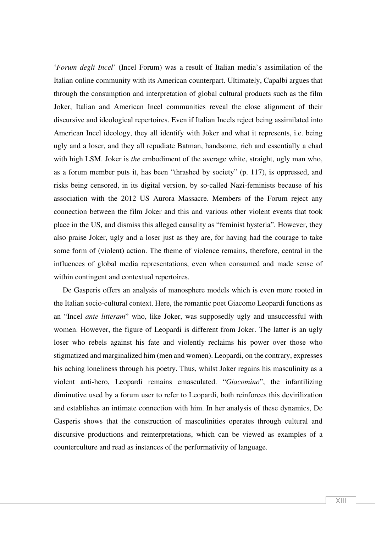'*Forum degli Incel*' (Incel Forum) was a result of Italian media's assimilation of the Italian online community with its American counterpart. Ultimately, Capalbi argues that through the consumption and interpretation of global cultural products such as the film Joker, Italian and American Incel communities reveal the close alignment of their discursive and ideological repertoires. Even if Italian Incels reject being assimilated into American Incel ideology, they all identify with Joker and what it represents, i.e. being ugly and a loser, and they all repudiate Batman, handsome, rich and essentially a chad with high LSM. Joker is *the* embodiment of the average white, straight, ugly man who, as a forum member puts it, has been "thrashed by society" (p. 117), is oppressed, and risks being censored, in its digital version, by so-called Nazi-feminists because of his association with the 2012 US Aurora Massacre. Members of the Forum reject any connection between the film Joker and this and various other violent events that took place in the US, and dismiss this alleged causality as "feminist hysteria". However, they also praise Joker, ugly and a loser just as they are, for having had the courage to take some form of (violent) action. The theme of violence remains, therefore, central in the influences of global media representations, even when consumed and made sense of within contingent and contextual repertoires.

De Gasperis offers an analysis of manosphere models which is even more rooted in the Italian socio-cultural context. Here, the romantic poet Giacomo Leopardi functions as an "Incel *ante litteram*" who, like Joker, was supposedly ugly and unsuccessful with women. However, the figure of Leopardi is different from Joker. The latter is an ugly loser who rebels against his fate and violently reclaims his power over those who stigmatized and marginalized him (men and women). Leopardi, on the contrary, expresses his aching loneliness through his poetry. Thus, whilst Joker regains his masculinity as a violent anti-hero, Leopardi remains emasculated. "*Giacomino*", the infantilizing diminutive used by a forum user to refer to Leopardi, both reinforces this devirilization and establishes an intimate connection with him. In her analysis of these dynamics, De Gasperis shows that the construction of masculinities operates through cultural and discursive productions and reinterpretations, which can be viewed as examples of a counterculture and read as instances of the performativity of language.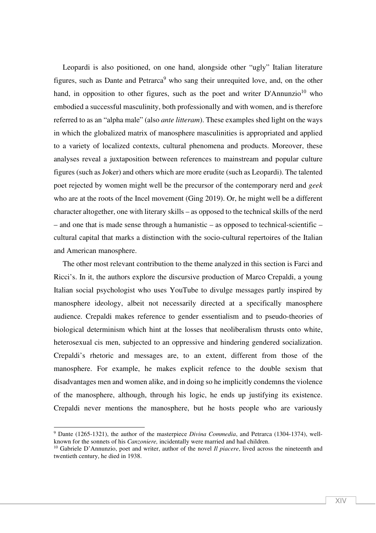Leopardi is also positioned, on one hand, alongside other "ugly" Italian literature figures, such as Dante and Petrarca<sup>9</sup> who sang their unrequited love, and, on the other hand, in opposition to other figures, such as the poet and writer  $D'Annunzio<sup>10</sup>$  who embodied a successful masculinity, both professionally and with women, and is therefore referred to as an "alpha male" (also *ante litteram*). These examples shed light on the ways in which the globalized matrix of manosphere masculinities is appropriated and applied to a variety of localized contexts, cultural phenomena and products. Moreover, these analyses reveal a juxtaposition between references to mainstream and popular culture figures (such as Joker) and others which are more erudite (such as Leopardi). The talented poet rejected by women might well be the precursor of the contemporary nerd and *geek* who are at the roots of the Incel movement (Ging 2019). Or, he might well be a different character altogether, one with literary skills – as opposed to the technical skills of the nerd – and one that is made sense through a humanistic – as opposed to technical-scientific – cultural capital that marks a distinction with the socio-cultural repertoires of the Italian and American manosphere.

The other most relevant contribution to the theme analyzed in this section is Farci and Ricci's. In it, the authors explore the discursive production of Marco Crepaldi, a young Italian social psychologist who uses YouTube to divulge messages partly inspired by manosphere ideology, albeit not necessarily directed at a specifically manosphere audience. Crepaldi makes reference to gender essentialism and to pseudo-theories of biological determinism which hint at the losses that neoliberalism thrusts onto white, heterosexual cis men, subjected to an oppressive and hindering gendered socialization. Crepaldi's rhetoric and messages are, to an extent, different from those of the manosphere. For example, he makes explicit refence to the double sexism that disadvantages men and women alike, and in doing so he implicitly condemns the violence of the manosphere, although, through his logic, he ends up justifying its existence. Crepaldi never mentions the manosphere, but he hosts people who are variously

<sup>&</sup>lt;sup>9</sup> Dante (1265-1321), the author of the masterpiece *Divina Commedia*, and Petrarca (1304-1374), wellknown for the sonnets of his *Canzoniere,* incidentally were married and had children.

<sup>&</sup>lt;sup>10</sup> Gabriele D'Annunzio, poet and writer, author of the novel *Il piacere*, lived across the nineteenth and twentieth century, he died in 1938.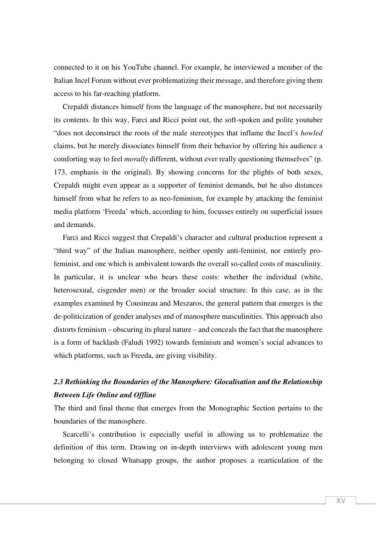connected to it on his YouTube channel. For example, he interviewed a member of the Italian Incel Forum without ever problematizing their message, and therefore giving them access to his far-reaching platform.

Crepaldi distances himself from the language of the manosphere, but not necessarily its contents. In this way, Farci and Ricci point out, the soft-spoken and polite youtuber "does not deconstruct the roots of the male stereotypes that inflame the Incel's *howled* claims, but he merely dissociates himself from their behavior by offering his audience a comforting way to feel *morally* different, without ever really questioning themselves" (p. 173, emphasis in the original). By showing concerns for the plights of both sexes, Crepaldi might even appear as a supporter of feminist demands, but he also distances himself from what he refers to as neo-feminism, for example by attacking the feminist media platform 'Freeda' which, according to him, focusses entirely on superficial issues and demands.

Farci and Ricci suggest that Crepaldi's character and cultural production represent a "third way" of the Italian manosphere, neither openly anti-feminist, nor entirely profeminist, and one which is ambivalent towards the overall so-called costs of masculinity. In particular, it is unclear who bears these costs: whether the individual (white, heterosexual, cisgender men) or the broader social structure. In this case, as in the examples examined by Cousineau and Meszaros, the general pattern that emerges is the de-politicization of gender analyses and of manosphere masculinities. This approach also distorts feminism – obscuring its plural nature – and conceals the fact that the manosphere is a form of backlash (Faludi 1992) towards feminism and women's social advances to which platforms, such as Freeda, are giving visibility.

# *2.3 Rethinking the Boundaries of the Manosphere: Glocalisation and the Relationship Between Life Online and Offline*

The third and final theme that emerges from the Monographic Section pertains to the boundaries of the manosphere.

Scarcelli's contribution is especially useful in allowing us to problematize the definition of this term. Drawing on in-depth interviews with adolescent young men belonging to closed Whatsapp groups, the author proposes a rearticulation of the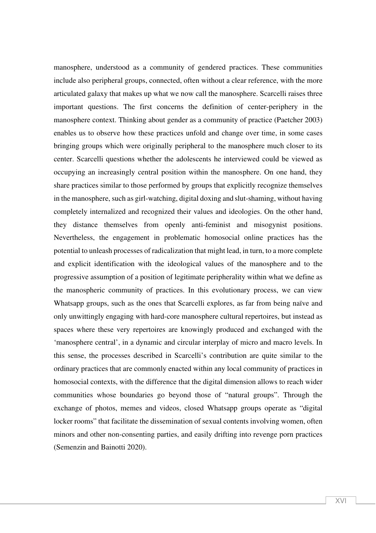manosphere, understood as a community of gendered practices. These communities include also peripheral groups, connected, often without a clear reference, with the more articulated galaxy that makes up what we now call the manosphere. Scarcelli raises three important questions. The first concerns the definition of center-periphery in the manosphere context. Thinking about gender as a community of practice (Paetcher 2003) enables us to observe how these practices unfold and change over time, in some cases bringing groups which were originally peripheral to the manosphere much closer to its center. Scarcelli questions whether the adolescents he interviewed could be viewed as occupying an increasingly central position within the manosphere. On one hand, they share practices similar to those performed by groups that explicitly recognize themselves in the manosphere, such as girl-watching, digital doxing and slut-shaming, without having completely internalized and recognized their values and ideologies. On the other hand, they distance themselves from openly anti-feminist and misogynist positions. Nevertheless, the engagement in problematic homosocial online practices has the potential to unleash processes of radicalization that might lead, in turn, to a more complete and explicit identification with the ideological values of the manosphere and to the progressive assumption of a position of legitimate peripherality within what we define as the manospheric community of practices. In this evolutionary process, we can view Whatsapp groups, such as the ones that Scarcelli explores, as far from being naïve and only unwittingly engaging with hard-core manosphere cultural repertoires, but instead as spaces where these very repertoires are knowingly produced and exchanged with the 'manosphere central', in a dynamic and circular interplay of micro and macro levels. In this sense, the processes described in Scarcelli's contribution are quite similar to the ordinary practices that are commonly enacted within any local community of practices in homosocial contexts, with the difference that the digital dimension allows to reach wider communities whose boundaries go beyond those of "natural groups". Through the exchange of photos, memes and videos, closed Whatsapp groups operate as "digital locker rooms" that facilitate the dissemination of sexual contents involving women, often minors and other non-consenting parties, and easily drifting into revenge porn practices (Semenzin and Bainotti 2020).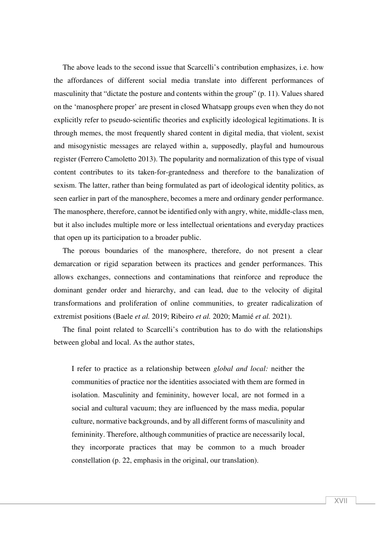The above leads to the second issue that Scarcelli's contribution emphasizes, i.e. how the affordances of different social media translate into different performances of masculinity that "dictate the posture and contents within the group" (p. 11). Values shared on the 'manosphere proper' are present in closed Whatsapp groups even when they do not explicitly refer to pseudo-scientific theories and explicitly ideological legitimations. It is through memes, the most frequently shared content in digital media, that violent, sexist and misogynistic messages are relayed within a, supposedly, playful and humourous register (Ferrero Camoletto 2013). The popularity and normalization of this type of visual content contributes to its taken-for-grantedness and therefore to the banalization of sexism. The latter, rather than being formulated as part of ideological identity politics, as seen earlier in part of the manosphere, becomes a mere and ordinary gender performance. The manosphere, therefore, cannot be identified only with angry, white, middle-class men, but it also includes multiple more or less intellectual orientations and everyday practices that open up its participation to a broader public.

The porous boundaries of the manosphere, therefore, do not present a clear demarcation or rigid separation between its practices and gender performances. This allows exchanges, connections and contaminations that reinforce and reproduce the dominant gender order and hierarchy, and can lead, due to the velocity of digital transformations and proliferation of online communities, to greater radicalization of extremist positions (Baele *et al.* 2019; Ribeiro *et al.* 2020; Mamié *et al.* 2021).

The final point related to Scarcelli's contribution has to do with the relationships between global and local. As the author states,

I refer to practice as a relationship between *global and local:* neither the communities of practice nor the identities associated with them are formed in isolation. Masculinity and femininity, however local, are not formed in a social and cultural vacuum; they are influenced by the mass media, popular culture, normative backgrounds, and by all different forms of masculinity and femininity. Therefore, although communities of practice are necessarily local, they incorporate practices that may be common to a much broader constellation (p. 22, emphasis in the original, our translation).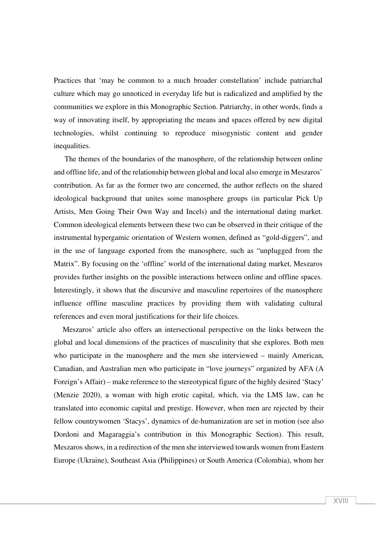Practices that 'may be common to a much broader constellation' include patriarchal culture which may go unnoticed in everyday life but is radicalized and amplified by the communities we explore in this Monographic Section. Patriarchy, in other words, finds a way of innovating itself, by appropriating the means and spaces offered by new digital technologies, whilst continuing to reproduce misogynistic content and gender inequalities.

 The themes of the boundaries of the manosphere, of the relationship between online and offline life, and of the relationship between global and local also emerge in Meszaros' contribution. As far as the former two are concerned, the author reflects on the shared ideological background that unites some manosphere groups (in particular Pick Up Artists, Men Going Their Own Way and Incels) and the international dating market. Common ideological elements between these two can be observed in their critique of the instrumental hypergamic orientation of Western women, defined as "gold-diggers", and in the use of language exported from the manosphere, such as "unplugged from the Matrix". By focusing on the 'offline' world of the international dating market, Meszaros provides further insights on the possible interactions between online and offline spaces. Interestingly, it shows that the discursive and masculine repertoires of the manosphere influence offline masculine practices by providing them with validating cultural references and even moral justifications for their life choices.

Meszaros' article also offers an intersectional perspective on the links between the global and local dimensions of the practices of masculinity that she explores. Both men who participate in the manosphere and the men she interviewed – mainly American, Canadian, and Australian men who participate in "love journeys" organized by AFA (A Foreign's Affair) – make reference to the stereotypical figure of the highly desired 'Stacy' (Menzie 2020), a woman with high erotic capital, which, via the LMS law, can be translated into economic capital and prestige. However, when men are rejected by their fellow countrywomen 'Stacys', dynamics of de-humanization are set in motion (see also Dordoni and Magaraggia's contribution in this Monographic Section). This result, Meszaros shows, in a redirection of the men she interviewed towards women from Eastern Europe (Ukraine), Southeast Asia (Philippines) or South America (Colombia), whom her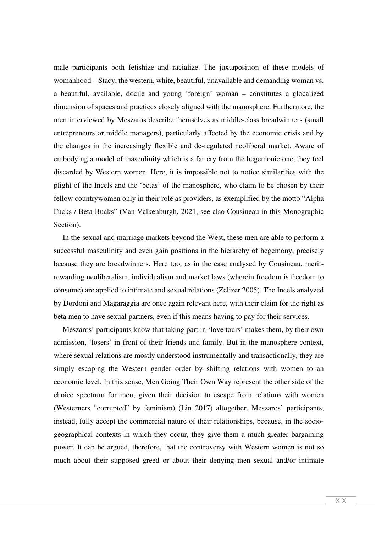male participants both fetishize and racialize. The juxtaposition of these models of womanhood – Stacy, the western, white, beautiful, unavailable and demanding woman vs. a beautiful, available, docile and young 'foreign' woman – constitutes a glocalized dimension of spaces and practices closely aligned with the manosphere. Furthermore, the men interviewed by Meszaros describe themselves as middle-class breadwinners (small entrepreneurs or middle managers), particularly affected by the economic crisis and by the changes in the increasingly flexible and de-regulated neoliberal market. Aware of embodying a model of masculinity which is a far cry from the hegemonic one, they feel discarded by Western women. Here, it is impossible not to notice similarities with the plight of the Incels and the 'betas' of the manosphere, who claim to be chosen by their fellow countrywomen only in their role as providers, as exemplified by the motto "Alpha Fucks / Beta Bucks" (Van Valkenburgh, 2021, see also Cousineau in this Monographic Section).

In the sexual and marriage markets beyond the West, these men are able to perform a successful masculinity and even gain positions in the hierarchy of hegemony, precisely because they are breadwinners. Here too, as in the case analysed by Cousineau, meritrewarding neoliberalism, individualism and market laws (wherein freedom is freedom to consume) are applied to intimate and sexual relations (Zelizer 2005). The Incels analyzed by Dordoni and Magaraggia are once again relevant here, with their claim for the right as beta men to have sexual partners, even if this means having to pay for their services.

Meszaros' participants know that taking part in 'love tours' makes them, by their own admission, 'losers' in front of their friends and family. But in the manosphere context, where sexual relations are mostly understood instrumentally and transactionally, they are simply escaping the Western gender order by shifting relations with women to an economic level. In this sense, Men Going Their Own Way represent the other side of the choice spectrum for men, given their decision to escape from relations with women (Westerners "corrupted" by feminism) (Lin 2017) altogether. Meszaros' participants, instead, fully accept the commercial nature of their relationships, because, in the sociogeographical contexts in which they occur, they give them a much greater bargaining power. It can be argued, therefore, that the controversy with Western women is not so much about their supposed greed or about their denying men sexual and/or intimate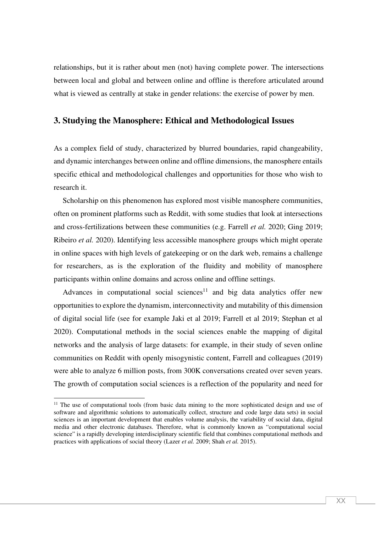relationships, but it is rather about men (not) having complete power. The intersections between local and global and between online and offline is therefore articulated around what is viewed as centrally at stake in gender relations: the exercise of power by men.

### **3. Studying the Manosphere: Ethical and Methodological Issues**

As a complex field of study, characterized by blurred boundaries, rapid changeability, and dynamic interchanges between online and offline dimensions, the manosphere entails specific ethical and methodological challenges and opportunities for those who wish to research it.

Scholarship on this phenomenon has explored most visible manosphere communities, often on prominent platforms such as Reddit, with some studies that look at intersections and cross-fertilizations between these communities (e.g. Farrell *et al.* 2020; Ging 2019; Ribeiro *et al.* 2020). Identifying less accessible manosphere groups which might operate in online spaces with high levels of gatekeeping or on the dark web, remains a challenge for researchers, as is the exploration of the fluidity and mobility of manosphere participants within online domains and across online and offline settings.

Advances in computational social sciences<sup>11</sup> and big data analytics offer new opportunities to explore the dynamism, interconnectivity and mutability of this dimension of digital social life (see for example Jaki et al 2019; Farrell et al 2019; Stephan et al 2020). Computational methods in the social sciences enable the mapping of digital networks and the analysis of large datasets: for example, in their study of seven online communities on Reddit with openly misogynistic content, Farrell and colleagues (2019) were able to analyze 6 million posts, from 300K conversations created over seven years. The growth of computation social sciences is a reflection of the popularity and need for

<sup>&</sup>lt;sup>11</sup> The use of computational tools (from basic data mining to the more sophisticated design and use of software and algorithmic solutions to automatically collect, structure and code large data sets) in social sciences is an important development that enables volume analysis, the variability of social data, digital media and other electronic databases. Therefore, what is commonly known as "computational social science" is a rapidly developing interdisciplinary scientific field that combines computational methods and practices with applications of social theory (Lazer *et al.* 2009; Shah *et al.* 2015).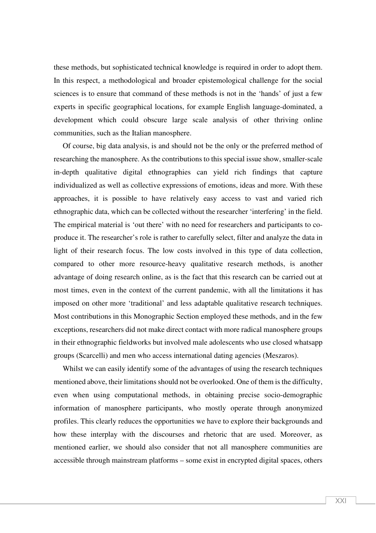these methods, but sophisticated technical knowledge is required in order to adopt them. In this respect, a methodological and broader epistemological challenge for the social sciences is to ensure that command of these methods is not in the 'hands' of just a few experts in specific geographical locations, for example English language-dominated, a development which could obscure large scale analysis of other thriving online communities, such as the Italian manosphere.

Of course, big data analysis, is and should not be the only or the preferred method of researching the manosphere. As the contributions to this special issue show, smaller-scale in-depth qualitative digital ethnographies can yield rich findings that capture individualized as well as collective expressions of emotions, ideas and more. With these approaches, it is possible to have relatively easy access to vast and varied rich ethnographic data, which can be collected without the researcher 'interfering' in the field. The empirical material is 'out there' with no need for researchers and participants to coproduce it. The researcher's role is rather to carefully select, filter and analyze the data in light of their research focus. The low costs involved in this type of data collection, compared to other more resource-heavy qualitative research methods, is another advantage of doing research online, as is the fact that this research can be carried out at most times, even in the context of the current pandemic, with all the limitations it has imposed on other more 'traditional' and less adaptable qualitative research techniques. Most contributions in this Monographic Section employed these methods, and in the few exceptions, researchers did not make direct contact with more radical manosphere groups in their ethnographic fieldworks but involved male adolescents who use closed whatsapp groups (Scarcelli) and men who access international dating agencies (Meszaros).

Whilst we can easily identify some of the advantages of using the research techniques mentioned above, their limitations should not be overlooked. One of them is the difficulty, even when using computational methods, in obtaining precise socio-demographic information of manosphere participants, who mostly operate through anonymized profiles. This clearly reduces the opportunities we have to explore their backgrounds and how these interplay with the discourses and rhetoric that are used. Moreover, as mentioned earlier, we should also consider that not all manosphere communities are accessible through mainstream platforms – some exist in encrypted digital spaces, others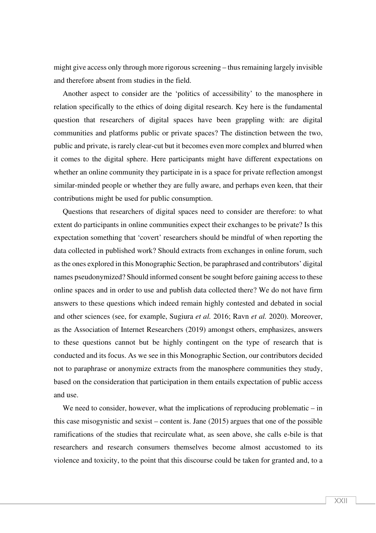might give access only through more rigorous screening – thus remaining largely invisible and therefore absent from studies in the field.

Another aspect to consider are the 'politics of accessibility' to the manosphere in relation specifically to the ethics of doing digital research. Key here is the fundamental question that researchers of digital spaces have been grappling with: are digital communities and platforms public or private spaces? The distinction between the two, public and private, is rarely clear-cut but it becomes even more complex and blurred when it comes to the digital sphere. Here participants might have different expectations on whether an online community they participate in is a space for private reflection amongst similar-minded people or whether they are fully aware, and perhaps even keen, that their contributions might be used for public consumption.

Questions that researchers of digital spaces need to consider are therefore: to what extent do participants in online communities expect their exchanges to be private? Is this expectation something that 'covert' researchers should be mindful of when reporting the data collected in published work? Should extracts from exchanges in online forum, such as the ones explored in this Monographic Section, be paraphrased and contributors' digital names pseudonymized? Should informed consent be sought before gaining access to these online spaces and in order to use and publish data collected there? We do not have firm answers to these questions which indeed remain highly contested and debated in social and other sciences (see, for example, Sugiura *et al.* 2016; Ravn *et al.* 2020). Moreover, as the Association of Internet Researchers (2019) amongst others, emphasizes, answers to these questions cannot but be highly contingent on the type of research that is conducted and its focus. As we see in this Monographic Section, our contributors decided not to paraphrase or anonymize extracts from the manosphere communities they study, based on the consideration that participation in them entails expectation of public access and use.

We need to consider, however, what the implications of reproducing problematic – in this case misogynistic and sexist – content is. Jane (2015) argues that one of the possible ramifications of the studies that recirculate what, as seen above, she calls e-bile is that researchers and research consumers themselves become almost accustomed to its violence and toxicity, to the point that this discourse could be taken for granted and, to a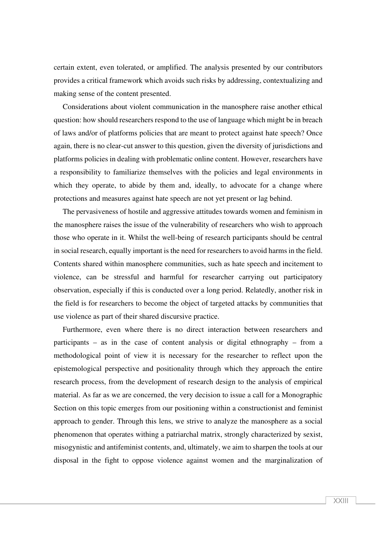certain extent, even tolerated, or amplified. The analysis presented by our contributors provides a critical framework which avoids such risks by addressing, contextualizing and making sense of the content presented.

Considerations about violent communication in the manosphere raise another ethical question: how should researchers respond to the use of language which might be in breach of laws and/or of platforms policies that are meant to protect against hate speech? Once again, there is no clear-cut answer to this question, given the diversity of jurisdictions and platforms policies in dealing with problematic online content. However, researchers have a responsibility to familiarize themselves with the policies and legal environments in which they operate, to abide by them and, ideally, to advocate for a change where protections and measures against hate speech are not yet present or lag behind.

The pervasiveness of hostile and aggressive attitudes towards women and feminism in the manosphere raises the issue of the vulnerability of researchers who wish to approach those who operate in it. Whilst the well-being of research participants should be central in social research, equally important is the need for researchers to avoid harms in the field. Contents shared within manosphere communities, such as hate speech and incitement to violence, can be stressful and harmful for researcher carrying out participatory observation, especially if this is conducted over a long period. Relatedly, another risk in the field is for researchers to become the object of targeted attacks by communities that use violence as part of their shared discursive practice.

Furthermore, even where there is no direct interaction between researchers and participants – as in the case of content analysis or digital ethnography – from a methodological point of view it is necessary for the researcher to reflect upon the epistemological perspective and positionality through which they approach the entire research process, from the development of research design to the analysis of empirical material. As far as we are concerned, the very decision to issue a call for a Monographic Section on this topic emerges from our positioning within a constructionist and feminist approach to gender. Through this lens, we strive to analyze the manosphere as a social phenomenon that operates withing a patriarchal matrix, strongly characterized by sexist, misogynistic and antifeminist contents, and, ultimately, we aim to sharpen the tools at our disposal in the fight to oppose violence against women and the marginalization of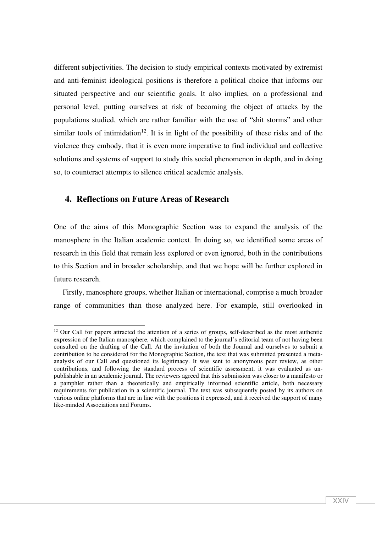different subjectivities. The decision to study empirical contexts motivated by extremist and anti-feminist ideological positions is therefore a political choice that informs our situated perspective and our scientific goals. It also implies, on a professional and personal level, putting ourselves at risk of becoming the object of attacks by the populations studied, which are rather familiar with the use of "shit storms" and other similar tools of intimidation<sup>12</sup>. It is in light of the possibility of these risks and of the violence they embody, that it is even more imperative to find individual and collective solutions and systems of support to study this social phenomenon in depth, and in doing so, to counteract attempts to silence critical academic analysis.

# **4. Reflections on Future Areas of Research**

One of the aims of this Monographic Section was to expand the analysis of the manosphere in the Italian academic context. In doing so, we identified some areas of research in this field that remain less explored or even ignored, both in the contributions to this Section and in broader scholarship, and that we hope will be further explored in future research.

Firstly, manosphere groups, whether Italian or international, comprise a much broader range of communities than those analyzed here. For example, still overlooked in

 $12$  Our Call for papers attracted the attention of a series of groups, self-described as the most authentic expression of the Italian manosphere, which complained to the journal's editorial team of not having been consulted on the drafting of the Call. At the invitation of both the Journal and ourselves to submit a contribution to be considered for the Monographic Section, the text that was submitted presented a metaanalysis of our Call and questioned its legitimacy. It was sent to anonymous peer review, as other contributions, and following the standard process of scientific assessment, it was evaluated as unpublishable in an academic journal. The reviewers agreed that this submission was closer to a manifesto or a pamphlet rather than a theoretically and empirically informed scientific article, both necessary requirements for publication in a scientific journal. The text was subsequently posted by its authors on various online platforms that are in line with the positions it expressed, and it received the support of many like-minded Associations and Forums.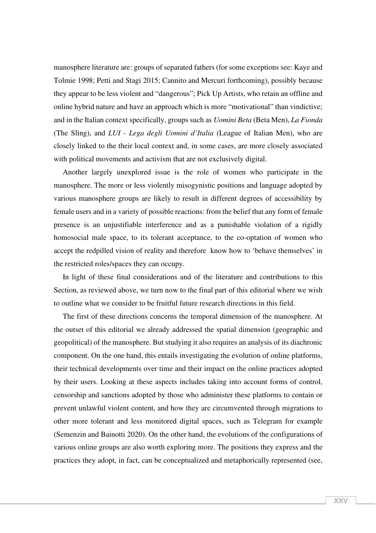manosphere literature are: groups of separated fathers (for some exceptions see: Kaye and Tolmie 1998; Petti and Stagi 2015; Cannito and Mercuri forthcoming), possibly because they appear to be less violent and "dangerous"; Pick Up Artists, who retain an offline and online hybrid nature and have an approach which is more "motivational" than vindictive; and in the Italian context specifically, groups such as *Uomini Beta* (Beta Men), *La Fionda* (The Sling), and *LUI - Lega degli Uomini d'Italia* (League of Italian Men), who are closely linked to the their local context and, in some cases, are more closely associated with political movements and activism that are not exclusively digital.

Another largely unexplored issue is the role of women who participate in the manosphere. The more or less violently misogynistic positions and language adopted by various manosphere groups are likely to result in different degrees of accessibility by female users and in a variety of possible reactions: from the belief that any form of female presence is an unjustifiable interference and as a punishable violation of a rigidly homosocial male space, to its tolerant acceptance, to the co-optation of women who accept the redpilled vision of reality and therefore know how to 'behave themselves' in the restricted roles/spaces they can occupy.

In light of these final considerations and of the literature and contributions to this Section, as reviewed above, we turn now to the final part of this editorial where we wish to outline what we consider to be fruitful future research directions in this field.

The first of these directions concerns the temporal dimension of the manosphere. At the outset of this editorial we already addressed the spatial dimension (geographic and geopolitical) of the manosphere. But studying it also requires an analysis of its diachronic component. On the one hand, this entails investigating the evolution of online platforms, their technical developments over time and their impact on the online practices adopted by their users. Looking at these aspects includes taking into account forms of control, censorship and sanctions adopted by those who administer these platforms to contain or prevent unlawful violent content, and how they are circumvented through migrations to other more tolerant and less monitored digital spaces, such as Telegram for example (Semenzin and Bainotti 2020). On the other hand, the evolutions of the configurations of various online groups are also worth exploring more. The positions they express and the practices they adopt, in fact, can be conceptualized and metaphorically represented (see,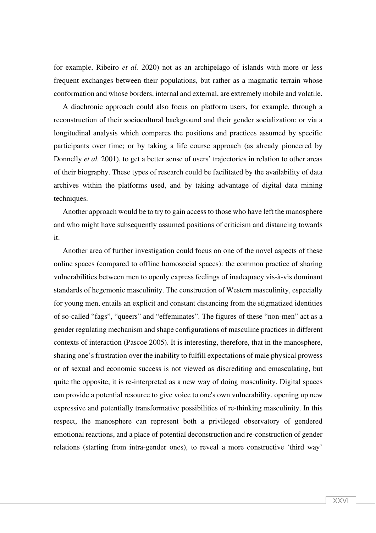for example, Ribeiro *et al.* 2020) not as an archipelago of islands with more or less frequent exchanges between their populations, but rather as a magmatic terrain whose conformation and whose borders, internal and external, are extremely mobile and volatile.

A diachronic approach could also focus on platform users, for example, through a reconstruction of their sociocultural background and their gender socialization; or via a longitudinal analysis which compares the positions and practices assumed by specific participants over time; or by taking a life course approach (as already pioneered by Donnelly *et al.* 2001), to get a better sense of users' trajectories in relation to other areas of their biography. These types of research could be facilitated by the availability of data archives within the platforms used, and by taking advantage of digital data mining techniques.

Another approach would be to try to gain access to those who have left the manosphere and who might have subsequently assumed positions of criticism and distancing towards it.

Another area of further investigation could focus on one of the novel aspects of these online spaces (compared to offline homosocial spaces): the common practice of sharing vulnerabilities between men to openly express feelings of inadequacy vis-à-vis dominant standards of hegemonic masculinity. The construction of Western masculinity, especially for young men, entails an explicit and constant distancing from the stigmatized identities of so-called "fags", "queers" and "effeminates". The figures of these "non-men" act as a gender regulating mechanism and shape configurations of masculine practices in different contexts of interaction (Pascoe 2005). It is interesting, therefore, that in the manosphere, sharing one's frustration over the inability to fulfill expectations of male physical prowess or of sexual and economic success is not viewed as discrediting and emasculating, but quite the opposite, it is re-interpreted as a new way of doing masculinity. Digital spaces can provide a potential resource to give voice to one's own vulnerability, opening up new expressive and potentially transformative possibilities of re-thinking masculinity. In this respect, the manosphere can represent both a privileged observatory of gendered emotional reactions, and a place of potential deconstruction and re-construction of gender relations (starting from intra-gender ones), to reveal a more constructive 'third way'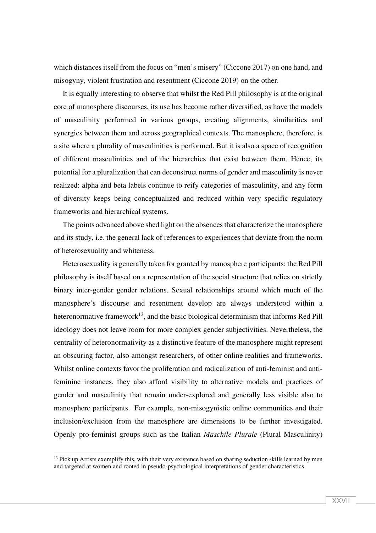which distances itself from the focus on "men's misery" (Ciccone 2017) on one hand, and misogyny, violent frustration and resentment (Ciccone 2019) on the other.

It is equally interesting to observe that whilst the Red Pill philosophy is at the original core of manosphere discourses, its use has become rather diversified, as have the models of masculinity performed in various groups, creating alignments, similarities and synergies between them and across geographical contexts. The manosphere, therefore, is a site where a plurality of masculinities is performed. But it is also a space of recognition of different masculinities and of the hierarchies that exist between them. Hence, its potential for a pluralization that can deconstruct norms of gender and masculinity is never realized: alpha and beta labels continue to reify categories of masculinity, and any form of diversity keeps being conceptualized and reduced within very specific regulatory frameworks and hierarchical systems.

The points advanced above shed light on the absences that characterize the manosphere and its study, i.e. the general lack of references to experiences that deviate from the norm of heterosexuality and whiteness.

Heterosexuality is generally taken for granted by manosphere participants: the Red Pill philosophy is itself based on a representation of the social structure that relies on strictly binary inter-gender gender relations. Sexual relationships around which much of the manosphere's discourse and resentment develop are always understood within a heteronormative framework<sup>13</sup>, and the basic biological determinism that informs Red Pill ideology does not leave room for more complex gender subjectivities. Nevertheless, the centrality of heteronormativity as a distinctive feature of the manosphere might represent an obscuring factor, also amongst researchers, of other online realities and frameworks. Whilst online contexts favor the proliferation and radicalization of anti-feminist and antifeminine instances, they also afford visibility to alternative models and practices of gender and masculinity that remain under-explored and generally less visible also to manosphere participants. For example, non-misogynistic online communities and their inclusion/exclusion from the manosphere are dimensions to be further investigated. Openly pro-feminist groups such as the Italian *Maschile Plurale* (Plural Masculinity)

<sup>&</sup>lt;sup>13</sup> Pick up Artists exemplify this, with their very existence based on sharing seduction skills learned by men and targeted at women and rooted in pseudo-psychological interpretations of gender characteristics.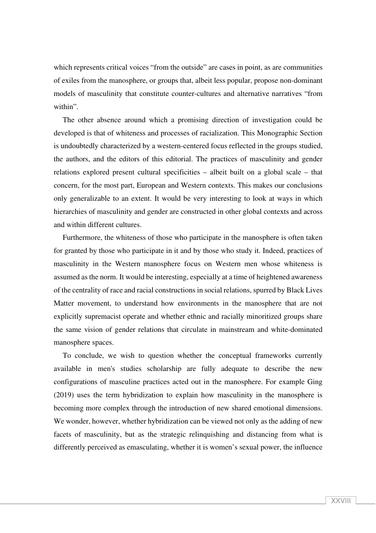which represents critical voices "from the outside" are cases in point, as are communities of exiles from the manosphere, or groups that, albeit less popular, propose non-dominant models of masculinity that constitute counter-cultures and alternative narratives "from within".

The other absence around which a promising direction of investigation could be developed is that of whiteness and processes of racialization. This Monographic Section is undoubtedly characterized by a western-centered focus reflected in the groups studied, the authors, and the editors of this editorial. The practices of masculinity and gender relations explored present cultural specificities – albeit built on a global scale – that concern, for the most part, European and Western contexts. This makes our conclusions only generalizable to an extent. It would be very interesting to look at ways in which hierarchies of masculinity and gender are constructed in other global contexts and across and within different cultures.

Furthermore, the whiteness of those who participate in the manosphere is often taken for granted by those who participate in it and by those who study it. Indeed, practices of masculinity in the Western manosphere focus on Western men whose whiteness is assumed as the norm. It would be interesting, especially at a time of heightened awareness of the centrality of race and racial constructions in social relations, spurred by Black Lives Matter movement, to understand how environments in the manosphere that are not explicitly supremacist operate and whether ethnic and racially minoritized groups share the same vision of gender relations that circulate in mainstream and white-dominated manosphere spaces.

To conclude, we wish to question whether the conceptual frameworks currently available in men's studies scholarship are fully adequate to describe the new configurations of masculine practices acted out in the manosphere. For example Ging (2019) uses the term hybridization to explain how masculinity in the manosphere is becoming more complex through the introduction of new shared emotional dimensions. We wonder, however, whether hybridization can be viewed not only as the adding of new facets of masculinity, but as the strategic relinquishing and distancing from what is differently perceived as emasculating, whether it is women's sexual power, the influence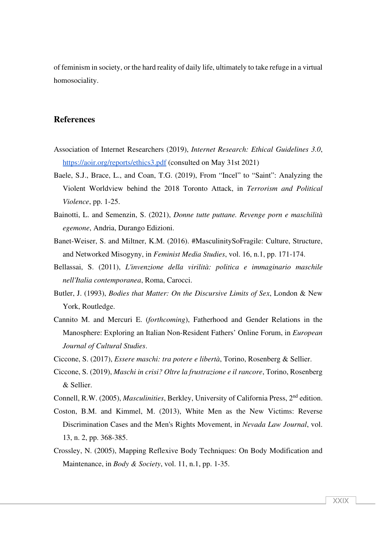of feminism in society, or the hard reality of daily life, ultimately to take refuge in a virtual homosociality.

### **References**

- Association of Internet Researchers (2019), *Internet Research: Ethical Guidelines 3.0*, https://aoir.org/reports/ethics3.pdf (consulted on May 31st 2021)
- Baele, S.J., Brace, L., and Coan, T.G. (2019), From "Incel" to "Saint": Analyzing the Violent Worldview behind the 2018 Toronto Attack, in *Terrorism and Political Violence*, pp. 1-25.
- Bainotti, L. and Semenzin, S. (2021), *Donne tutte puttane. Revenge porn e maschilità egemone*, Andria, Durango Edizioni.
- Banet-Weiser, S. and Miltner, K.M. (2016). #MasculinitySoFragile: Culture, Structure, and Networked Misogyny, in *Feminist Media Studies*, vol. 16, n.1, pp. 171-174.
- Bellassai, S. (2011), *L'invenzione della virilità: politica e immaginario maschile nell'Italia contemporanea*, Roma, Carocci.
- Butler, J. (1993), *Bodies that Matter: On the Discursive Limits of Sex*, London & New York, Routledge.
- Cannito M. and Mercuri E. (*forthcoming*), Fatherhood and Gender Relations in the Manosphere: Exploring an Italian Non-Resident Fathers' Online Forum, in *European Journal of Cultural Studies*.
- Ciccone, S. (2017), *Essere maschi: tra potere e libertà*, Torino, Rosenberg & Sellier.
- Ciccone, S. (2019), *Maschi in crisi? Oltre la frustrazione e il rancore*, Torino, Rosenberg & Sellier.
- Connell, R.W. (2005), *Masculinities*, Berkley, University of California Press, 2nd edition.
- Coston, B.M. and Kimmel, M. (2013), White Men as the New Victims: Reverse Discrimination Cases and the Men's Rights Movement, in *Nevada Law Journal*, vol. 13, n. 2, pp. 368-385.
- Crossley, N. (2005), Mapping Reflexive Body Techniques: On Body Modification and Maintenance, in *Body & Society*, vol. 11, n.1, pp. 1-35.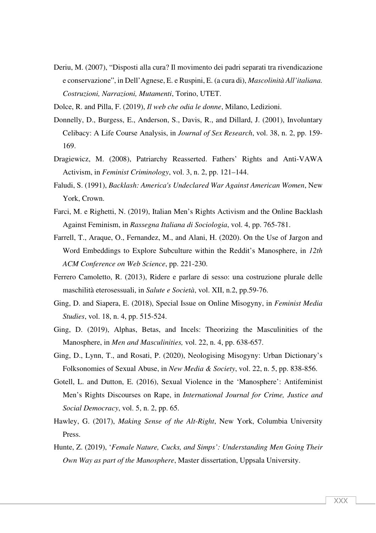Deriu, M. (2007), "Disposti alla cura? Il movimento dei padri separati tra rivendicazione e conservazione", in Dell'Agnese, E. e Ruspini, E. (a cura di), *Mascolinità All'italiana. Costruzioni, Narrazioni, Mutamenti*, Torino, UTET.

Dolce, R. and Pilla, F. (2019), *Il web che odia le donne*, Milano, Ledizioni.

- Donnelly, D., Burgess, E., Anderson, S., Davis, R., and Dillard, J. (2001), Involuntary Celibacy: A Life Course Analysis, in *Journal of Sex Research*, vol. 38, n. 2, pp. 159- 169.
- Dragiewicz, M. (2008), Patriarchy Reasserted. Fathers' Rights and Anti-VAWA Activism, in *Feminist Criminology*, vol. 3, n. 2, pp. 121–144.
- Faludi, S. (1991), *Backlash: America's Undeclared War Against American Women*, New York, Crown.
- Farci, M. e Righetti, N. (2019), Italian Men's Rights Activism and the Online Backlash Against Feminism, in *Rassegna Italiana di Sociologia*, vol. 4, pp. 765-781.
- Farrell, T., Araque, O., Fernandez, M., and Alani, H. (2020). On the Use of Jargon and Word Embeddings to Explore Subculture within the Reddit's Manosphere, in *12th ACM Conference on Web Science*, pp. 221-230.
- Ferrero Camoletto, R. (2013), Ridere e parlare di sesso: una costruzione plurale delle maschilità eterosessuali, in *Salute e Società*, vol. XII, n.2, pp.59-76.
- Ging, D. and Siapera, E. (2018), Special Issue on Online Misogyny, in *Feminist Media Studies*, vol. 18, n. 4, pp. 515-524.
- Ging, D. (2019), Alphas, Betas, and Incels: Theorizing the Masculinities of the Manosphere, in *Men and Masculinities,* vol. 22, n. 4, pp. 638-657.
- Ging, D., Lynn, T., and Rosati, P. (2020), Neologising Misogyny: Urban Dictionary's Folksonomies of Sexual Abuse, in *New Media & Society*, vol. 22, n. 5, pp. 838-856.
- Gotell, L. and Dutton, E. (2016), Sexual Violence in the 'Manosphere': Antifeminist Men's Rights Discourses on Rape, in *International Journal for Crime, Justice and Social Democracy*, vol. 5, n. 2, pp. 65.
- Hawley, G. (2017), *Making Sense of the Alt-Right*, New York, Columbia University Press.
- Hunte, Z. (2019), '*Female Nature, Cucks, and Simps': Understanding Men Going Their Own Way as part of the Manosphere*, Master dissertation, Uppsala University.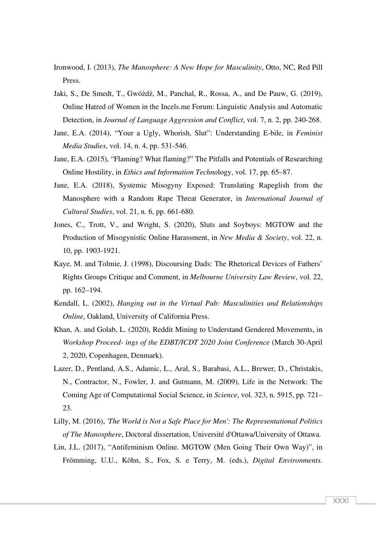- Ironwood, I. (2013), *The Manosphere: A New Hope for Masculinity*, Otto, NC, Red Pill Press.
- Jaki, S., De Smedt, T., Gwóźdź, M., Panchal, R., Rossa, A., and De Pauw, G. (2019), Online Hatred of Women in the Incels.me Forum: Linguistic Analysis and Automatic Detection, in *Journal of Language Aggression and Conflict*, vol. 7, n. 2, pp. 240-268.
- Jane, E.A. (2014), "Your a Ugly, Whorish, Slut": Understanding E-bile, in *Feminist Media Studies*, vol. 14, n. 4, pp. 531-546.
- Jane, E.A. (2015), "Flaming? What flaming?" The Pitfalls and Potentials of Researching Online Hostility, in *Ethics and Information Techno*logy, vol. 17, pp. 65–87.
- Jane, E.A. (2018), Systemic Misogyny Exposed: Translating Rapeglish from the Manosphere with a Random Rape Threat Generator, in *International Journal of Cultural Studies*, vol. 21, n. 6, pp. 661-680.
- Jones, C., Trott, V., and Wright, S. (2020), Sluts and Soyboys: MGTOW and the Production of Misogynistic Online Harassment, in *New Media & Society*, vol. 22, n. 10, pp. 1903-1921.
- Kaye, M. and Tolmie, J. (1998), Discoursing Dads: The Rhetorical Devices of Fathers' Rights Groups Critique and Comment, in *Melbourne University Law Review*, vol. 22, pp. 162–194.
- Kendall, L. (2002), *Hanging out in the Virtual Pub: Masculinities and Relationships Online*, Oakland, University of California Press.
- Khan, A. and Golab, L. (2020), Reddit Mining to Understand Gendered Movements, in *Workshop Proceed- ings of the EDBT/ICDT 2020 Joint Conference* (March 30-April 2, 2020, Copenhagen, Denmark).
- Lazer, D., Pentland, A.S., Adamic, L., Aral, S., Barabasi, A.L., Brewer, D., Christakis, N., Contractor, N., Fowler, J. and Gutmann, M. (2009), Life in the Network: The Coming Age of Computational Social Science, in *Science*, vol. 323, n. 5915, pp. 721– 23.
- Lilly, M. (2016), *'The World is Not a Safe Place for Men': The Representational Politics of The Manosphere*, Doctoral dissertation, Université d'Ottawa/University of Ottawa.
- Lin, J.L. (2017), "Antifeminism Online. MGTOW (Men Going Their Own Way)", in Frömming, U.U., Köhn, S., Fox, S. e Terry, M. (eds.), *Digital Environments.*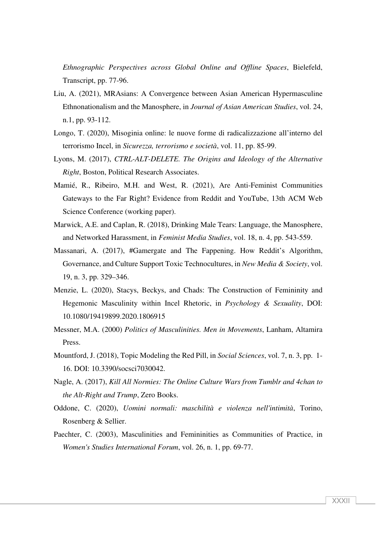*Ethnographic Perspectives across Global Online and Offline Spaces*, Bielefeld, Transcript, pp. 77-96.

- Liu, A. (2021), MRAsians: A Convergence between Asian American Hypermasculine Ethnonationalism and the Manosphere, in *Journal of Asian American Studies*, vol. 24, n.1, pp. 93-112.
- Longo, T. (2020), Misoginia online: le nuove forme di radicalizzazione all'interno del terrorismo Incel, in *Sicurezza, terrorismo e società*, vol. 11, pp. 85-99.
- Lyons, M. (2017), *CTRL-ALT-DELETE. The Origins and Ideology of the Alternative Right*, Boston, Political Research Associates.
- Mamié, R., Ribeiro, M.H. and West, R. (2021), Are Anti-Feminist Communities Gateways to the Far Right? Evidence from Reddit and YouTube, 13th ACM Web Science Conference (working paper).
- Marwick, A.E. and Caplan, R. (2018), Drinking Male Tears: Language, the Manosphere, and Networked Harassment, in *Feminist Media Studies*, vol. 18, n. 4, pp. 543-559.
- Massanari, A. (2017), #Gamergate and The Fappening. How Reddit's Algorithm, Governance, and Culture Support Toxic Technocultures, in *New Media & Society*, vol. 19, n. 3, pp. 329–346.
- Menzie, L. (2020), Stacys, Beckys, and Chads: The Construction of Femininity and Hegemonic Masculinity within Incel Rhetoric, in *Psychology & Sexuality*, DOI: 10.1080/19419899.2020.1806915
- Messner, M.A. (2000) *Politics of Masculinities. Men in Movements*, Lanham, Altamira Press.
- Mountford, J. (2018), Topic Modeling the Red Pill, in *Social Sciences*, vol. 7, n. 3, pp. 1- 16. DOI: 10.3390/socsci7030042.
- Nagle, A. (2017), *Kill All Normies: The Online Culture Wars from Tumblr and 4chan to the Alt-Right and Trump*, Zero Books.
- Oddone, C. (2020), *Uomini normali: maschilità e violenza nell'intimità*, Torino, Rosenberg & Sellier.
- Paechter, C. (2003), Masculinities and Femininities as Communities of Practice, in *Women's Studies International Forum*, vol. 26, n. 1, pp. 69-77.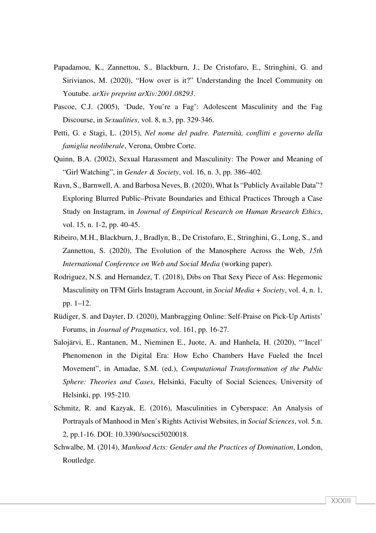- Papadamou, K., Zannettou, S., Blackburn, J., De Cristofaro, E., Stringhini, G. and Sirivianos, M. (2020), "How over is it?" Understanding the Incel Community on Youtube. *arXiv preprint arXiv:2001.08293*.
- Pascoe, C.J. (2005), 'Dude, You're a Fag': Adolescent Masculinity and the Fag Discourse, in *Sexualities*, vol. 8, n.3, pp. 329-346.
- Petti, G. e Stagi, L. (2015), *Nel nome del padre. Paternità, conflitti e governo della famiglia neoliberale*, Verona, Ombre Corte.
- Quinn, B.A. (2002), Sexual Harassment and Masculinity: The Power and Meaning of "Girl Watching", in *Gender & Society*, vol. 16, n. 3, pp. 386–402.
- Ravn, S., Barnwell, A. and Barbosa Neves, B. (2020), What Is "Publicly Available Data"? Exploring Blurred Public–Private Boundaries and Ethical Practices Through a Case Study on Instagram, in *Journal of Empirical Research on Human Research Ethics*, vol. 15, n. 1-2, pp. 40-45.
- Ribeiro, M.H., Blackburn, J., Bradlyn, B., De Cristofaro, E., Stringhini, G., Long, S., and Zannettou, S. (2020), The Evolution of the Manosphere Across the Web, *15th International Conference on Web and Social Media* (working paper).
- Rodriguez, N.S. and Hernandez, T. (2018), Dibs on That Sexy Piece of Ass: Hegemonic Masculinity on TFM Girls Instagram Account, in *Social Media + Society*, vol. 4, n. 1, pp. 1–12.
- Rüdiger, S. and Dayter, D. (2020), Manbragging Online: Self-Praise on Pick-Up Artists' Forums, in *Journal of Pragmatics*, vol. 161, pp. 16-27.
- Salojärvi, E., Rantanen, M., Nieminen E., Juote, A. and Hanhela, H. (2020), "'Incel' Phenomenon in the Digital Era: How Echo Chambers Have Fueled the Incel Movement", in Amadae, S.M. (ed.), *Computational Transformation of the Public Sphere: Theories and Cases*, Helsinki, Faculty of Social Sciences, University of Helsinki, pp. 195-210.
- Schmitz, R. and Kazyak, E. (2016), Masculinities in Cyberspace: An Analysis of Portrayals of Manhood in Men's Rights Activist Websites, in *Social Sciences*, vol. 5.n. 2, pp.1-16. DOI: 10.3390/socsci5020018.
- Schwalbe, M. (2014), *Manhood Acts: Gender and the Practices of Domination*, London, Routledge.